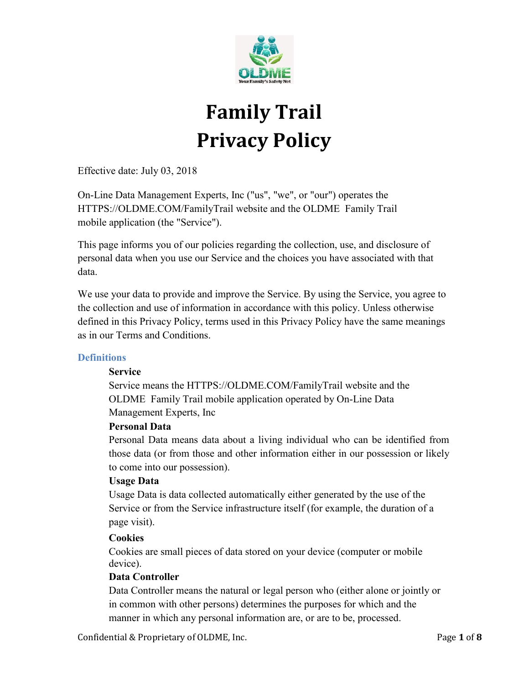

# **Family Trail Privacy Policy**

Effective date: July 03, 2018

On-Line Data Management Experts, Inc ("us", "we", or "our") operates the HTTPS://OLDME.COM/FamilyTrail website and the OLDME Family Trail mobile application (the "Service").

This page informs you of our policies regarding the collection, use, and disclosure of personal data when you use our Service and the choices you have associated with that data.

We use your data to provide and improve the Service. By using the Service, you agree to the collection and use of information in accordance with this policy. Unless otherwise defined in this Privacy Policy, terms used in this Privacy Policy have the same meanings as in our Terms and Conditions.

## **Definitions**

## **Service**

Service means the HTTPS://OLDME.COM/FamilyTrail website and the OLDME Family Trail mobile application operated by On-Line Data Management Experts, Inc

## **Personal Data**

Personal Data means data about a living individual who can be identified from those data (or from those and other information either in our possession or likely to come into our possession).

## **Usage Data**

Usage Data is data collected automatically either generated by the use of the Service or from the Service infrastructure itself (for example, the duration of a page visit).

#### **Cookies**

Cookies are small pieces of data stored on your device (computer or mobile device).

#### **Data Controller**

Data Controller means the natural or legal person who (either alone or jointly or in common with other persons) determines the purposes for which and the manner in which any personal information are, or are to be, processed.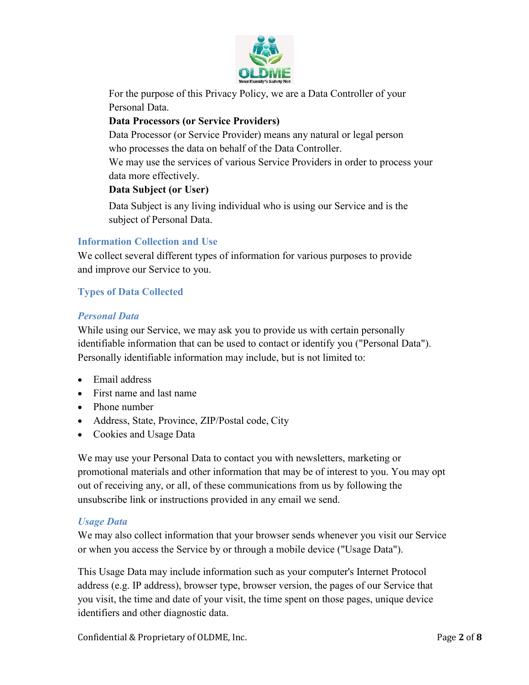

For the purpose of this Privacy Policy, we are a Data Controller of your Personal Data.

# **Data Processors (or Service Providers)**

Data Processor (or Service Provider) means any natural or legal person who processes the data on behalf of the Data Controller.

We may use the services of various Service Providers in order to process your data more effectively.

# **Data Subject (or User)**

Data Subject is any living individual who is using our Service and is the subject of Personal Data.

# **Information Collection and Use**

We collect several different types of information for various purposes to provide and improve our Service to you.

# **Types of Data Collected**

# *Personal Data*

While using our Service, we may ask you to provide us with certain personally identifiable information that can be used to contact or identify you ("Personal Data"). Personally identifiable information may include, but is not limited to:

- Email address
- First name and last name
- Phone number
- Address, State, Province, ZIP/Postal code, City
- Cookies and Usage Data

We may use your Personal Data to contact you with newsletters, marketing or promotional materials and other information that may be of interest to you. You may opt out of receiving any, or all, of these communications from us by following the unsubscribe link or instructions provided in any email we send.

## *Usage Data*

We may also collect information that your browser sends whenever you visit our Service or when you access the Service by or through a mobile device ("Usage Data").

This Usage Data may include information such as your computer's Internet Protocol address (e.g. IP address), browser type, browser version, the pages of our Service that you visit, the time and date of your visit, the time spent on those pages, unique device identifiers and other diagnostic data.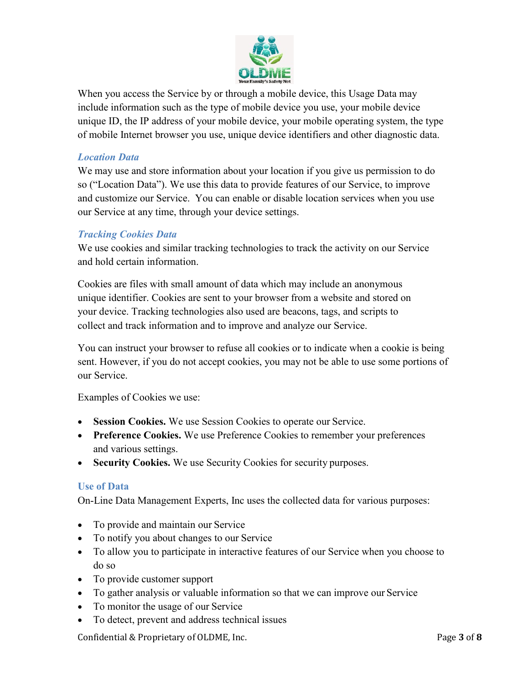

When you access the Service by or through a mobile device, this Usage Data may include information such as the type of mobile device you use, your mobile device unique ID, the IP address of your mobile device, your mobile operating system, the type of mobile Internet browser you use, unique device identifiers and other diagnostic data.

#### *Location Data*

We may use and store information about your location if you give us permission to do so ("Location Data"). We use this data to provide features of our Service, to improve and customize our Service. You can enable or disable location services when you use our Service at any time, through your device settings.

#### *Tracking Cookies Data*

We use cookies and similar tracking technologies to track the activity on our Service and hold certain information.

Cookies are files with small amount of data which may include an anonymous unique identifier. Cookies are sent to your browser from a website and stored on your device. Tracking technologies also used are beacons, tags, and scripts to collect and track information and to improve and analyze our Service.

You can instruct your browser to refuse all cookies or to indicate when a cookie is being sent. However, if you do not accept cookies, you may not be able to use some portions of our Service.

Examples of Cookies we use:

- **Session Cookies.** We use Session Cookies to operate our Service.
- **Preference Cookies.** We use Preference Cookies to remember your preferences and various settings.
- **Security Cookies.** We use Security Cookies for security purposes.

#### **Use of Data**

On-Line Data Management Experts, Inc uses the collected data for various purposes:

- To provide and maintain our Service
- To notify you about changes to our Service
- To allow you to participate in interactive features of our Service when you choose to do so
- To provide customer support
- To gather analysis or valuable information so that we can improve our Service
- To monitor the usage of our Service
- To detect, prevent and address technical issues

Confidential & Proprietary of OLDME, Inc. Page **3** of **8**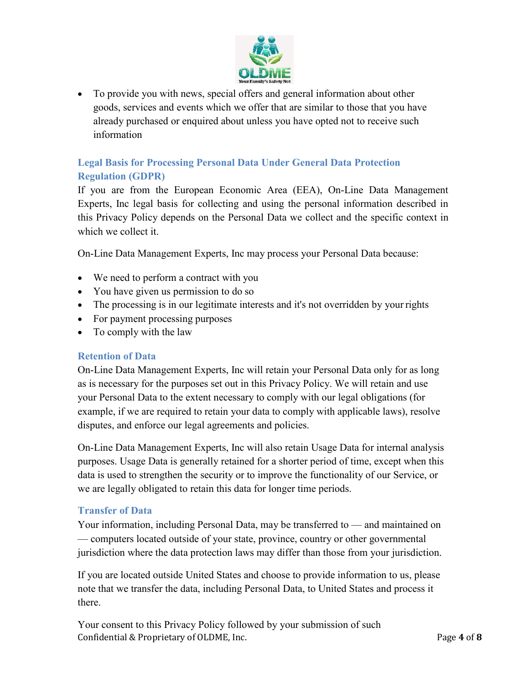

• To provide you with news, special offers and general information about other goods, services and events which we offer that are similar to those that you have already purchased or enquired about unless you have opted not to receive such information

# **Legal Basis for Processing Personal Data Under General Data Protection Regulation (GDPR)**

If you are from the European Economic Area (EEA), On-Line Data Management Experts, Inc legal basis for collecting and using the personal information described in this Privacy Policy depends on the Personal Data we collect and the specific context in which we collect it.

On-Line Data Management Experts, Inc may process your Personal Data because:

- We need to perform a contract with you
- You have given us permission to do so
- The processing is in our legitimate interests and it's not overridden by your rights
- For payment processing purposes
- To comply with the law

## **Retention of Data**

On-Line Data Management Experts, Inc will retain your Personal Data only for as long as is necessary for the purposes set out in this Privacy Policy. We will retain and use your Personal Data to the extent necessary to comply with our legal obligations (for example, if we are required to retain your data to comply with applicable laws), resolve disputes, and enforce our legal agreements and policies.

On-Line Data Management Experts, Inc will also retain Usage Data for internal analysis purposes. Usage Data is generally retained for a shorter period of time, except when this data is used to strengthen the security or to improve the functionality of our Service, or we are legally obligated to retain this data for longer time periods.

## **Transfer of Data**

Your information, including Personal Data, may be transferred to — and maintained on — computers located outside of your state, province, country or other governmental jurisdiction where the data protection laws may differ than those from your jurisdiction.

If you are located outside United States and choose to provide information to us, please note that we transfer the data, including Personal Data, to United States and process it there.

Confidential & Proprietary of OLDME, Inc. **Page 4** of **8** Page 4 of **8** Your consent to this Privacy Policy followed by your submission of such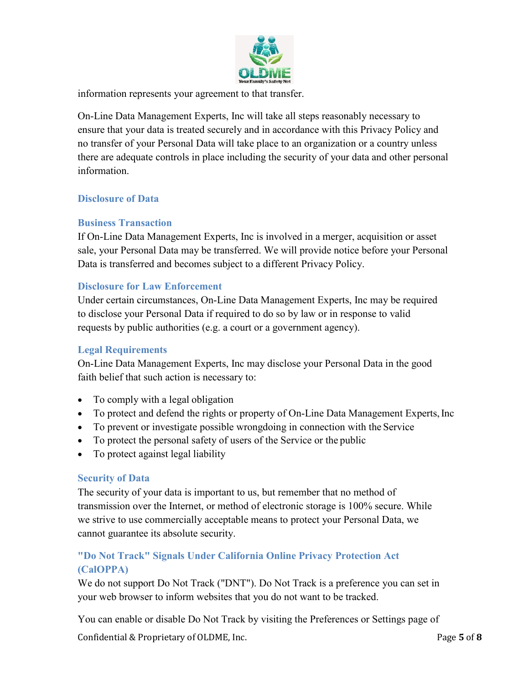

information represents your agreement to that transfer.

On-Line Data Management Experts, Inc will take all steps reasonably necessary to ensure that your data is treated securely and in accordance with this Privacy Policy and no transfer of your Personal Data will take place to an organization or a country unless there are adequate controls in place including the security of your data and other personal information.

## **Disclosure of Data**

## **Business Transaction**

If On-Line Data Management Experts, Inc is involved in a merger, acquisition or asset sale, your Personal Data may be transferred. We will provide notice before your Personal Data is transferred and becomes subject to a different Privacy Policy.

#### **Disclosure for Law Enforcement**

Under certain circumstances, On-Line Data Management Experts, Inc may be required to disclose your Personal Data if required to do so by law or in response to valid requests by public authorities (e.g. a court or a government agency).

## **Legal Requirements**

On-Line Data Management Experts, Inc may disclose your Personal Data in the good faith belief that such action is necessary to:

- To comply with a legal obligation
- To protect and defend the rights or property of On-Line Data Management Experts, Inc
- To prevent or investigate possible wrongdoing in connection with the Service
- To protect the personal safety of users of the Service or the public
- To protect against legal liability

## **Security of Data**

The security of your data is important to us, but remember that no method of transmission over the Internet, or method of electronic storage is 100% secure. While we strive to use commercially acceptable means to protect your Personal Data, we cannot guarantee its absolute security.

# **"Do Not Track" Signals Under California Online Privacy Protection Act (CalOPPA)**

We do not support Do Not Track ("DNT"). Do Not Track is a preference you can set in your web browser to inform websites that you do not want to be tracked.

You can enable or disable Do Not Track by visiting the Preferences or Settings page of

Confidential & Proprietary of OLDME, Inc. **Page 5** of **8** Page 5 of **8**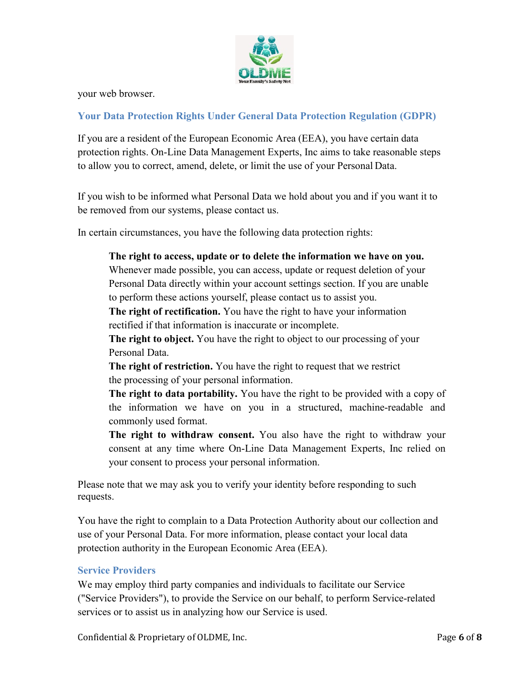

your web browser.

# **Your Data Protection Rights Under General Data Protection Regulation (GDPR)**

If you are a resident of the European Economic Area (EEA), you have certain data protection rights. On-Line Data Management Experts, Inc aims to take reasonable steps to allow you to correct, amend, delete, or limit the use of your Personal Data.

If you wish to be informed what Personal Data we hold about you and if you want it to be removed from our systems, please contact us.

In certain circumstances, you have the following data protection rights:

#### **The right to access, update or to delete the information we have on you.**

Whenever made possible, you can access, update or request deletion of your Personal Data directly within your account settings section. If you are unable to perform these actions yourself, please contact us to assist you.

**The right of rectification.** You have the right to have your information rectified if that information is inaccurate or incomplete.

**The right to object.** You have the right to object to our processing of your Personal Data.

**The right of restriction.** You have the right to request that we restrict the processing of your personal information.

**The right to data portability.** You have the right to be provided with a copy of the information we have on you in a structured, machine-readable and commonly used format.

**The right to withdraw consent.** You also have the right to withdraw your consent at any time where On-Line Data Management Experts, Inc relied on your consent to process your personal information.

Please note that we may ask you to verify your identity before responding to such requests.

You have the right to complain to a Data Protection Authority about our collection and use of your Personal Data. For more information, please contact your local data protection authority in the European Economic Area (EEA).

#### **Service Providers**

We may employ third party companies and individuals to facilitate our Service ("Service Providers"), to provide the Service on our behalf, to perform Service-related services or to assist us in analyzing how our Service is used.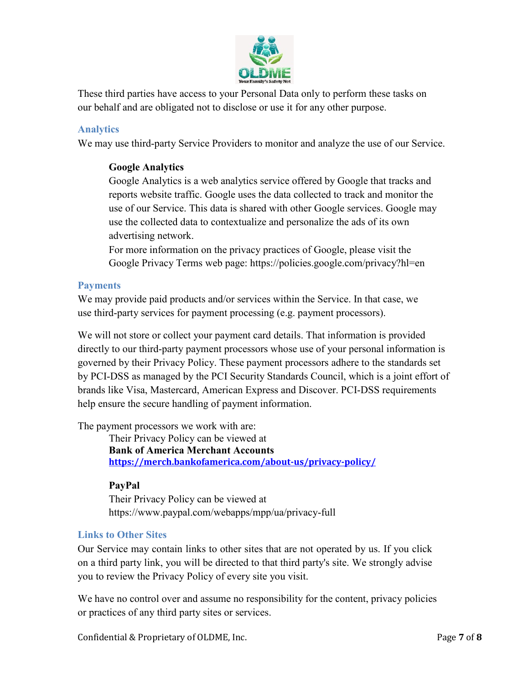

These third parties have access to your Personal Data only to perform these tasks on our behalf and are obligated not to disclose or use it for any other purpose.

## **Analytics**

We may use third-party Service Providers to monitor and analyze the use of our Service.

## **Google Analytics**

Google Analytics is a web analytics service offered by Google that tracks and reports website traffic. Google uses the data collected to track and monitor the use of our Service. This data is shared with other Google services. Google may use the collected data to contextualize and personalize the ads of its own advertising network.

For more information on the privacy practices of Google, please visit the Google Privacy Terms web page:<https://policies.google.com/privacy?hl=en>

#### **Payments**

We may provide paid products and/or services within the Service. In that case, we use third-party services for payment processing (e.g. payment processors).

We will not store or collect your payment card details. That information is provided directly to our third-party payment processors whose use of your personal information is governed by their Privacy Policy. These payment processors adhere to the standards set by PCI-DSS as managed by the PCI Security Standards Council, which is a joint effort of brands like Visa, Mastercard, American Express and Discover. PCI-DSS requirements help ensure the secure handling of payment information.

The payment processors we work with are:

Their Privacy Policy can be viewed at **Bank of America Merchant Accounts <https://merch.bankofamerica.com/about-us/privacy-policy/>**

## **PayPal**

Their Privacy Policy can be viewed a[t](https://www.paypal.com/webapps/mpp/ua/privacy-full) <https://www.paypal.com/webapps/mpp/ua/privacy-full>

## **Links to Other Sites**

Our Service may contain links to other sites that are not operated by us. If you click on a third party link, you will be directed to that third party's site. We strongly advise you to review the Privacy Policy of every site you visit.

We have no control over and assume no responsibility for the content, privacy policies or practices of any third party sites or services.

Confidential & Proprietary of OLDME, Inc. **Page 7** of **8** Page 7 of **8**